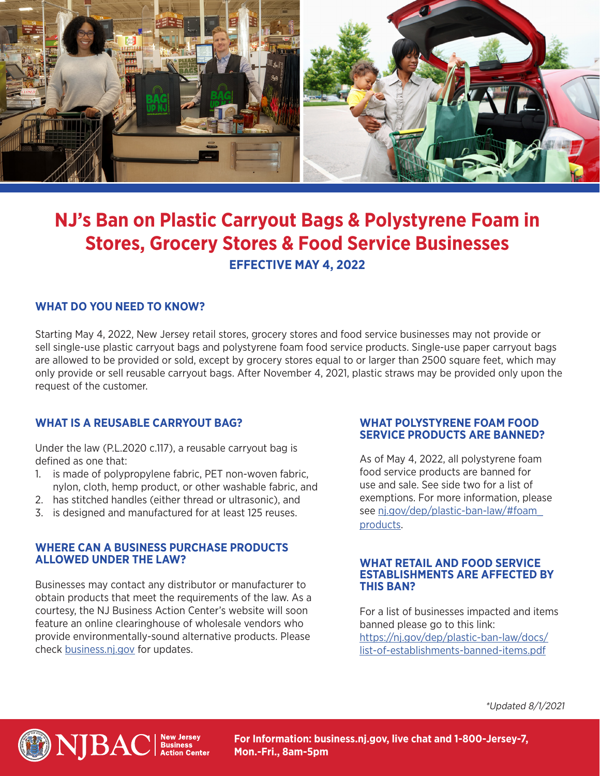

# **NJ's Ban on Plastic Carryout Bags & Polystyrene Foam in Stores, Grocery Stores & Food Service Businesses EFFECTIVE MAY 4, 2022**

## **WHAT DO YOU NEED TO KNOW?**

Starting May 4, 2022, New Jersey retail stores, grocery stores and food service businesses may not provide or sell single-use plastic carryout bags and polystyrene foam food service products. Single-use paper carryout bags are allowed to be provided or sold, except by grocery stores equal to or larger than 2500 square feet, which may only provide or sell reusable carryout bags. After November 4, 2021, plastic straws may be provided only upon the request of the customer.

## **WHAT IS A REUSABLE CARRYOUT BAG?**

Under the law (P.L.2020 c.117), a reusable carryout bag is defined as one that:

- 1. is made of polypropylene fabric, PET non-woven fabric, nylon, cloth, hemp product, or other washable fabric, and
- 2. has stitched handles (either thread or ultrasonic), and
- 3. is designed and manufactured for at least 125 reuses.

## **WHERE CAN A BUSINESS PURCHASE PRODUCTS ALLOWED UNDER THE LAW?**

Businesses may contact any distributor or manufacturer to obtain products that meet the requirements of the law. As a courtesy, the NJ Business Action Center's website will soon feature an online clearinghouse of wholesale vendors who provide environmentally-sound alternative products. Please check [business.nj.gov](http://business.nj.gov) for updates.

### **WHAT POLYSTYRENE FOAM FOOD SERVICE PRODUCTS ARE BANNED?**

As of May 4, 2022, all polystyrene foam food service products are banned for use and sale. See side two for a list of exemptions. For more information, please see [nj.gov/dep/plastic-ban-law/#foam\\_](http://nj.gov/dep/plastic-ban-law/#foam_products) [products](http://nj.gov/dep/plastic-ban-law/#foam_products).

### **WHAT RETAIL AND FOOD SERVICE ESTABLISHMENTS ARE AFFECTED BY THIS BAN?**

For a list of businesses impacted and items banned please go to this link: [https://nj.gov/dep/plastic-ban-law/docs/](https://nj.gov/dep/plastic-ban-law/docs/list-of-establishments-banned-items.pdf) [list-of-establishments-banned-items.pdf](https://nj.gov/dep/plastic-ban-law/docs/list-of-establishments-banned-items.pdf)

\*Updated 8/1/2021



**For Information: business.nj.gov, live chat and 1-800-Jersey-7, Mon.-Fri., 8am-5pm**